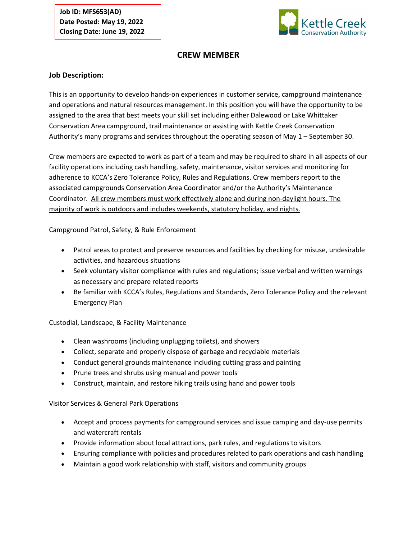**Job ID: MFS653(AD) Date Posted: May 19, 2022 Closing Date: June 19, 2022**



# **CREW MEMBER**

## **Job Description:**

This is an opportunity to develop hands-on experiences in customer service, campground maintenance and operations and natural resources management. In this position you will have the opportunity to be assigned to the area that best meets your skill set including either Dalewood or Lake Whittaker Conservation Area campground, trail maintenance or assisting with Kettle Creek Conservation Authority's many programs and services throughout the operating season of May 1 – September 30.

Crew members are expected to work as part of a team and may be required to share in all aspects of our facility operations including cash handling, safety, maintenance, visitor services and monitoring for adherence to KCCA's Zero Tolerance Policy, Rules and Regulations. Crew members report to the associated campgrounds Conservation Area Coordinator and/or the Authority's Maintenance Coordinator. All crew members must work effectively alone and during non-daylight hours. The majority of work is outdoors and includes weekends, statutory holiday, and nights.

Campground Patrol, Safety, & Rule Enforcement

- Patrol areas to protect and preserve resources and facilities by checking for misuse, undesirable activities, and hazardous situations
- Seek voluntary visitor compliance with rules and regulations; issue verbal and written warnings as necessary and prepare related reports
- Be familiar with KCCA's Rules, Regulations and Standards, Zero Tolerance Policy and the relevant Emergency Plan

Custodial, Landscape, & Facility Maintenance

- Clean washrooms (including unplugging toilets), and showers
- Collect, separate and properly dispose of garbage and recyclable materials
- Conduct general grounds maintenance including cutting grass and painting
- Prune trees and shrubs using manual and power tools
- Construct, maintain, and restore hiking trails using hand and power tools

Visitor Services & General Park Operations

- Accept and process payments for campground services and issue camping and day-use permits and watercraft rentals
- Provide information about local attractions, park rules, and regulations to visitors
- Ensuring compliance with policies and procedures related to park operations and cash handling
- Maintain a good work relationship with staff, visitors and community groups